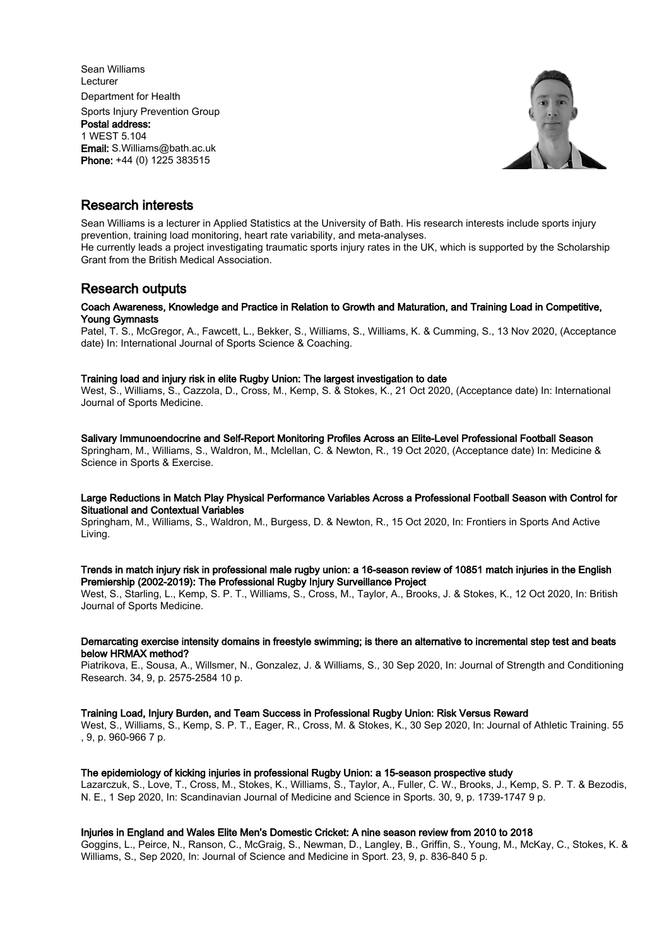Sean Williams Lecturer Department for Health Sports Injury Prevention Group Postal address: 1 WEST 5.104 Email: S.Williams@bath.ac.uk Phone: +44 (0) 1225 383515



# Research interests

Sean Williams is a lecturer in Applied Statistics at the University of Bath. His research interests include sports injury prevention, training load monitoring, heart rate variability, and meta-analyses.

He currently leads a project investigating traumatic sports injury rates in the UK, which is supported by the Scholarship Grant from the British Medical Association.

# Research outputs

## Coach Awareness, Knowledge and Practice in Relation to Growth and Maturation, and Training Load in Competitive, Young Gymnasts

Patel, T. S., McGregor, A., Fawcett, L., Bekker, S., Williams, S., Williams, K. & Cumming, S., 13 Nov 2020, (Acceptance date) In: International Journal of Sports Science & Coaching.

## Training load and injury risk in elite Rugby Union: The largest investigation to date

West, S., Williams, S., Cazzola, D., Cross, M., Kemp, S. & Stokes, K., 21 Oct 2020, (Acceptance date) In: International Journal of Sports Medicine.

#### Salivary Immunoendocrine and Self-Report Monitoring Profiles Across an Elite-Level Professional Football Season

Springham, M., Williams, S., Waldron, M., Mclellan, C. & Newton, R., 19 Oct 2020, (Acceptance date) In: Medicine & Science in Sports & Exercise.

## Large Reductions in Match Play Physical Performance Variables Across a Professional Football Season with Control for Situational and Contextual Variables

Springham, M., Williams, S., Waldron, M., Burgess, D. & Newton, R., 15 Oct 2020, In: Frontiers in Sports And Active Living.

# Trends in match injury risk in professional male rugby union: a 16-season review of 10851 match injuries in the English Premiership (2002-2019): The Professional Rugby Injury Surveillance Project

West, S., Starling, L., Kemp, S. P. T., Williams, S., Cross, M., Taylor, A., Brooks, J. & Stokes, K., 12 Oct 2020, In: British Journal of Sports Medicine.

## Demarcating exercise intensity domains in freestyle swimming; is there an alternative to incremental step test and beats below HRMAX method?

Piatrikova, E., Sousa, A., Willsmer, N., Gonzalez, J. & Williams, S., 30 Sep 2020, In: Journal of Strength and Conditioning Research. 34, 9, p. 2575-2584 10 p.

## Training Load, Injury Burden, and Team Success in Professional Rugby Union: Risk Versus Reward

West, S., Williams, S., Kemp, S. P. T., Eager, R., Cross, M. & Stokes, K., 30 Sep 2020, In: Journal of Athletic Training. 55 , 9, p. 960-966 7 p.

## The epidemiology of kicking injuries in professional Rugby Union: a 15-season prospective study

Lazarczuk, S., Love, T., Cross, M., Stokes, K., Williams, S., Taylor, A., Fuller, C. W., Brooks, J., Kemp, S. P. T. & Bezodis, N. E., 1 Sep 2020, In: Scandinavian Journal of Medicine and Science in Sports. 30, 9, p. 1739-1747 9 p.

## Injuries in England and Wales Elite Men's Domestic Cricket: A nine season review from 2010 to 2018

Goggins, L., Peirce, N., Ranson, C., McGraig, S., Newman, D., Langley, B., Griffin, S., Young, M., McKay, C., Stokes, K. & Williams, S., Sep 2020, In: Journal of Science and Medicine in Sport. 23, 9, p. 836-840 5 p.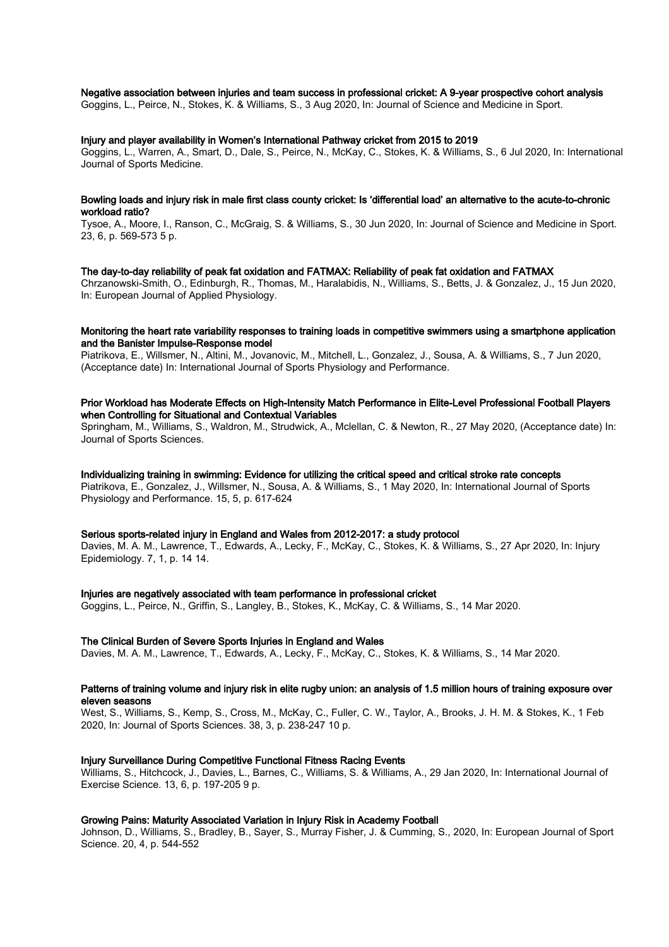## Negative association between injuries and team success in professional cricket: A 9-year prospective cohort analysis

Goggins, L., Peirce, N., Stokes, K. & Williams, S., 3 Aug 2020, In: Journal of Science and Medicine in Sport.

#### Injury and player availability in Women's International Pathway cricket from 2015 to 2019

Goggins, L., Warren, A., Smart, D., Dale, S., Peirce, N., McKay, C., Stokes, K. & Williams, S., 6 Jul 2020, In: International Journal of Sports Medicine.

## Bowling loads and injury risk in male first class county cricket: Is 'differential load' an alternative to the acute-to-chronic workload ratio?

Tysoe, A., Moore, I., Ranson, C., McGraig, S. & Williams, S., 30 Jun 2020, In: Journal of Science and Medicine in Sport. 23, 6, p. 569-573 5 p.

#### The day-to-day reliability of peak fat oxidation and FATMAX: Reliability of peak fat oxidation and FATMAX

Chrzanowski-Smith, O., Edinburgh, R., Thomas, M., Haralabidis, N., Williams, S., Betts, J. & Gonzalez, J., 15 Jun 2020, In: European Journal of Applied Physiology.

#### Monitoring the heart rate variability responses to training loads in competitive swimmers using a smartphone application and the Banister Impulse-Response model

Piatrikova, E., Willsmer, N., Altini, M., Jovanovic, M., Mitchell, L., Gonzalez, J., Sousa, A. & Williams, S., 7 Jun 2020, (Acceptance date) In: International Journal of Sports Physiology and Performance.

## Prior Workload has Moderate Effects on High-Intensity Match Performance in Elite-Level Professional Football Players when Controlling for Situational and Contextual Variables

Springham, M., Williams, S., Waldron, M., Strudwick, A., Mclellan, C. & Newton, R., 27 May 2020, (Acceptance date) In: Journal of Sports Sciences.

#### Individualizing training in swimming: Evidence for utilizing the critical speed and critical stroke rate concepts

Piatrikova, E., Gonzalez, J., Willsmer, N., Sousa, A. & Williams, S., 1 May 2020, In: International Journal of Sports Physiology and Performance. 15, 5, p. 617-624

### Serious sports-related injury in England and Wales from 2012-2017: a study protocol

Davies, M. A. M., Lawrence, T., Edwards, A., Lecky, F., McKay, C., Stokes, K. & Williams, S., 27 Apr 2020, In: Injury Epidemiology. 7, 1, p. 14 14.

#### Injuries are negatively associated with team performance in professional cricket

Goggins, L., Peirce, N., Griffin, S., Langley, B., Stokes, K., McKay, C. & Williams, S., 14 Mar 2020.

#### The Clinical Burden of Severe Sports Injuries in England and Wales

Davies, M. A. M., Lawrence, T., Edwards, A., Lecky, F., McKay, C., Stokes, K. & Williams, S., 14 Mar 2020.

#### Patterns of training volume and injury risk in elite rugby union: an analysis of 1.5 million hours of training exposure over eleven seasons

West, S., Williams, S., Kemp, S., Cross, M., McKay, C., Fuller, C. W., Taylor, A., Brooks, J. H. M. & Stokes, K., 1 Feb 2020, In: Journal of Sports Sciences. 38, 3, p. 238-247 10 p.

#### Injury Surveillance During Competitive Functional Fitness Racing Events

Williams, S., Hitchcock, J., Davies, L., Barnes, C., Williams, S. & Williams, A., 29 Jan 2020, In: International Journal of Exercise Science. 13, 6, p. 197-205 9 p.

#### Growing Pains: Maturity Associated Variation in Injury Risk in Academy Football

Johnson, D., Williams, S., Bradley, B., Sayer, S., Murray Fisher, J. & Cumming, S., 2020, In: European Journal of Sport Science. 20, 4, p. 544-552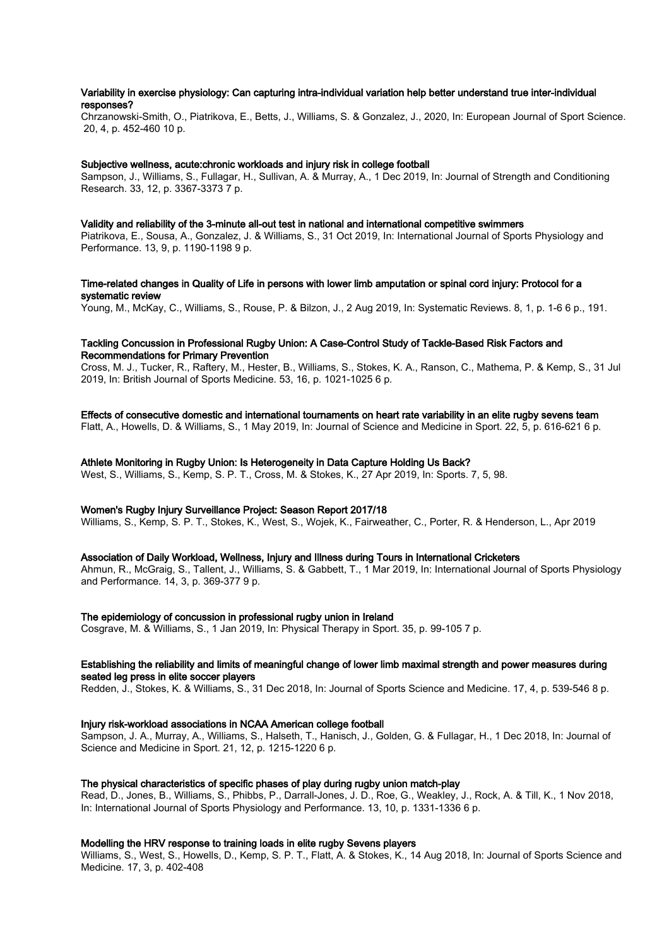## Variability in exercise physiology: Can capturing intra-individual variation help better understand true inter-individual responses?

Chrzanowski-Smith, O., Piatrikova, E., Betts, J., Williams, S. & Gonzalez, J., 2020, In: European Journal of Sport Science. 20, 4, p. 452-460 10 p.

#### Subjective wellness, acute:chronic workloads and injury risk in college football

Sampson, J., Williams, S., Fullagar, H., Sullivan, A. & Murray, A., 1 Dec 2019, In: Journal of Strength and Conditioning Research. 33, 12, p. 3367-3373 7 p.

#### Validity and reliability of the 3-minute all-out test in national and international competitive swimmers

Piatrikova, E., Sousa, A., Gonzalez, J. & Williams, S., 31 Oct 2019, In: International Journal of Sports Physiology and Performance. 13, 9, p. 1190-1198 9 p.

#### Time-related changes in Quality of Life in persons with lower limb amputation or spinal cord injury: Protocol for a systematic review

Young, M., McKay, C., Williams, S., Rouse, P. & Bilzon, J., 2 Aug 2019, In: Systematic Reviews. 8, 1, p. 1-6 6 p., 191.

#### Tackling Concussion in Professional Rugby Union: A Case-Control Study of Tackle-Based Risk Factors and Recommendations for Primary Prevention

Cross, M. J., Tucker, R., Raftery, M., Hester, B., Williams, S., Stokes, K. A., Ranson, C., Mathema, P. & Kemp, S., 31 Jul 2019, In: British Journal of Sports Medicine. 53, 16, p. 1021-1025 6 p.

#### Effects of consecutive domestic and international tournaments on heart rate variability in an elite rugby sevens team

Flatt, A., Howells, D. & Williams, S., 1 May 2019, In: Journal of Science and Medicine in Sport. 22, 5, p. 616-621 6 p.

#### Athlete Monitoring in Rugby Union: Is Heterogeneity in Data Capture Holding Us Back?

West, S., Williams, S., Kemp, S. P. T., Cross, M. & Stokes, K., 27 Apr 2019, In: Sports. 7, 5, 98.

## Women's Rugby Injury Surveillance Project: Season Report 2017/18

Williams, S., Kemp, S. P. T., Stokes, K., West, S., Wojek, K., Fairweather, C., Porter, R. & Henderson, L., Apr 2019

#### Association of Daily Workload, Wellness, Injury and Illness during Tours in International Cricketers

Ahmun, R., McGraig, S., Tallent, J., Williams, S. & Gabbett, T., 1 Mar 2019, In: International Journal of Sports Physiology and Performance. 14, 3, p. 369-377 9 p.

## The epidemiology of concussion in professional rugby union in Ireland

Cosgrave, M. & Williams, S., 1 Jan 2019, In: Physical Therapy in Sport. 35, p. 99-105 7 p.

#### Establishing the reliability and limits of meaningful change of lower limb maximal strength and power measures during seated leg press in elite soccer players

Redden, J., Stokes, K. & Williams, S., 31 Dec 2018, In: Journal of Sports Science and Medicine. 17, 4, p. 539-546 8 p.

## Injury risk-workload associations in NCAA American college football

Sampson, J. A., Murray, A., Williams, S., Halseth, T., Hanisch, J., Golden, G. & Fullagar, H., 1 Dec 2018, In: Journal of Science and Medicine in Sport. 21, 12, p. 1215-1220 6 p.

#### The physical characteristics of specific phases of play during rugby union match-play

Read, D., Jones, B., Williams, S., Phibbs, P., Darrall-Jones, J. D., Roe, G., Weakley, J., Rock, A. & Till, K., 1 Nov 2018, In: International Journal of Sports Physiology and Performance. 13, 10, p. 1331-1336 6 p.

## Modelling the HRV response to training loads in elite rugby Sevens players

Williams, S., West, S., Howells, D., Kemp, S. P. T., Flatt, A. & Stokes, K., 14 Aug 2018, In: Journal of Sports Science and Medicine. 17, 3, p. 402-408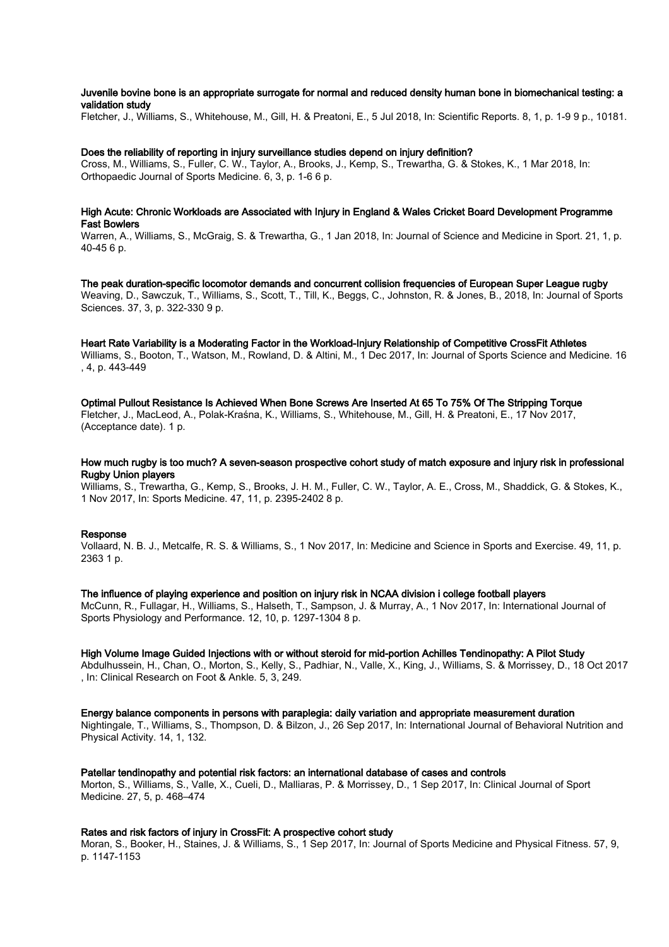## Juvenile bovine bone is an appropriate surrogate for normal and reduced density human bone in biomechanical testing: a validation study

Fletcher, J., Williams, S., Whitehouse, M., Gill, H. & Preatoni, E., 5 Jul 2018, In: Scientific Reports. 8, 1, p. 1-9 9 p., 10181.

#### Does the reliability of reporting in injury surveillance studies depend on injury definition?

Cross, M., Williams, S., Fuller, C. W., Taylor, A., Brooks, J., Kemp, S., Trewartha, G. & Stokes, K., 1 Mar 2018, In: Orthopaedic Journal of Sports Medicine. 6, 3, p. 1-6 6 p.

#### High Acute: Chronic Workloads are Associated with Injury in England & Wales Cricket Board Development Programme Fast Bowlers

Warren, A., Williams, S., McGraig, S. & Trewartha, G., 1 Jan 2018, In: Journal of Science and Medicine in Sport. 21, 1, p. 40-45 6 p.

The peak duration-specific locomotor demands and concurrent collision frequencies of European Super League rugby Weaving, D., Sawczuk, T., Williams, S., Scott, T., Till, K., Beggs, C., Johnston, R. & Jones, B., 2018, In: Journal of Sports Sciences. 37, 3, p. 322-330 9 p.

Heart Rate Variability is a Moderating Factor in the Workload-Injury Relationship of Competitive CrossFit Athletes Williams, S., Booton, T., Watson, M., Rowland, D. & Altini, M., 1 Dec 2017, In: Journal of Sports Science and Medicine. 16 , 4, p. 443-449

## Optimal Pullout Resistance Is Achieved When Bone Screws Are Inserted At 65 To 75% Of The Stripping Torque

Fletcher, J., MacLeod, A., Polak-Kraśna, K., Williams, S., Whitehouse, M., Gill, H. & Preatoni, E., 17 Nov 2017, (Acceptance date). 1 p.

How much rugby is too much? A seven-season prospective cohort study of match exposure and injury risk in professional Rugby Union players

Williams, S., Trewartha, G., Kemp, S., Brooks, J. H. M., Fuller, C. W., Taylor, A. E., Cross, M., Shaddick, G. & Stokes, K., 1 Nov 2017, In: Sports Medicine. 47, 11, p. 2395-2402 8 p.

#### Response

Vollaard, N. B. J., Metcalfe, R. S. & Williams, S., 1 Nov 2017, In: Medicine and Science in Sports and Exercise. 49, 11, p. 2363 1 p.

The influence of playing experience and position on injury risk in NCAA division i college football players

McCunn, R., Fullagar, H., Williams, S., Halseth, T., Sampson, J. & Murray, A., 1 Nov 2017, In: International Journal of Sports Physiology and Performance. 12, 10, p. 1297-1304 8 p.

High Volume Image Guided Injections with or without steroid for mid-portion Achilles Tendinopathy: A Pilot Study

Abdulhussein, H., Chan, O., Morton, S., Kelly, S., Padhiar, N., Valle, X., King, J., Williams, S. & Morrissey, D., 18 Oct 2017 , In: Clinical Research on Foot & Ankle. 5, 3, 249.

Energy balance components in persons with paraplegia: daily variation and appropriate measurement duration

Nightingale, T., Williams, S., Thompson, D. & Bilzon, J., 26 Sep 2017, In: International Journal of Behavioral Nutrition and Physical Activity. 14, 1, 132.

#### Patellar tendinopathy and potential risk factors: an international database of cases and controls

Morton, S., Williams, S., Valle, X., Cueli, D., Malliaras, P. & Morrissey, D., 1 Sep 2017, In: Clinical Journal of Sport Medicine. 27, 5, p. 468–474

## Rates and risk factors of injury in CrossFit: A prospective cohort study

Moran, S., Booker, H., Staines, J. & Williams, S., 1 Sep 2017, In: Journal of Sports Medicine and Physical Fitness. 57, 9, p. 1147-1153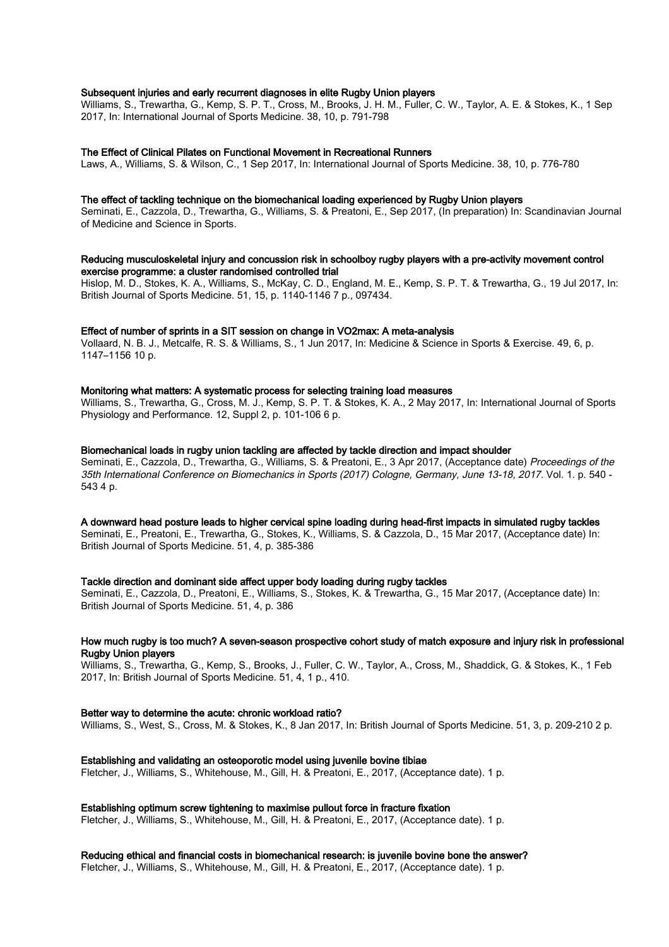## Subsequent injuries and early recurrent diagnoses in elite Rugby Union players

Williams, S., Trewartha, G., Kemp, S. P. T., Cross, M., Brooks, J. H. M., Fuller, C. W., Taylor, A. E. & Stokes, K., 1 Sep 2017, In: International Journal of Sports Medicine. 38, 10, p. 791-798

#### The Effect of Clinical Pilates on Functional Movement in Recreational Runners

Laws, A., Williams, S. & Wilson, C., 1 Sep 2017, In: International Journal of Sports Medicine. 38, 10, p. 776-780

#### The effect of tackling technique on the biomechanical loading experienced by Rugby Union players

Seminati, E., Cazzola, D., Trewartha, G., Williams, S. & Preatoni, E., Sep 2017, (In preparation) In: Scandinavian Journal of Medicine and Science in Sports.

#### Reducing musculoskeletal injury and concussion risk in schoolboy rugby players with a pre-activity movement control exercise programme: a cluster randomised controlled trial

Hislop, M. D., Stokes, K. A., Williams, S., McKay, C. D., England, M. E., Kemp, S. P. T. & Trewartha, G., 19 Jul 2017, In: British Journal of Sports Medicine. 51, 15, p. 1140-1146 7 p., 097434.

#### Effect of number of sprints in a SIT session on change in VO2max: A meta-analysis

Vollaard, N. B. J., Metcalfe, R. S. & Williams, S., 1 Jun 2017, In: Medicine & Science in Sports & Exercise. 49, 6, p. 1147–1156 10 p.

## Monitoring what matters: A systematic process for selecting training load measures

Williams, S., Trewartha, G., Cross, M. J., Kemp, S. P. T. & Stokes, K. A., 2 May 2017, In: International Journal of Sports Physiology and Performance. 12, Suppl 2, p. 101-106 6 p.

#### Biomechanical loads in rugby union tackling are affected by tackle direction and impact shoulder

Seminati, E., Cazzola, D., Trewartha, G., Williams, S. & Preatoni, E., 3 Apr 2017, (Acceptance date) Proceedings of the 35th International Conference on Biomechanics in Sports (2017) Cologne, Germany, June 13-18, 2017. Vol. 1. p. 540 - 543 4 p.

#### A downward head posture leads to higher cervical spine loading during head-first impacts in simulated rugby tackles

Seminati, E., Preatoni, E., Trewartha, G., Stokes, K., Williams, S. & Cazzola, D., 15 Mar 2017, (Acceptance date) In: British Journal of Sports Medicine. 51, 4, p. 385-386

#### Tackle direction and dominant side affect upper body loading during rugby tackles

Seminati, E., Cazzola, D., Preatoni, E., Williams, S., Stokes, K. & Trewartha, G., 15 Mar 2017, (Acceptance date) In: British Journal of Sports Medicine. 51, 4, p. 386

#### How much rugby is too much? A seven-season prospective cohort study of match exposure and injury risk in professional Rugby Union players

Williams, S., Trewartha, G., Kemp, S., Brooks, J., Fuller, C. W., Taylor, A., Cross, M., Shaddick, G. & Stokes, K., 1 Feb 2017, In: British Journal of Sports Medicine. 51, 4, 1 p., 410.

#### Better way to determine the acute: chronic workload ratio?

Williams, S., West, S., Cross, M. & Stokes, K., 8 Jan 2017, In: British Journal of Sports Medicine. 51, 3, p. 209-210 2 p.

#### Establishing and validating an osteoporotic model using juvenile bovine tibiae

Fletcher, J., Williams, S., Whitehouse, M., Gill, H. & Preatoni, E., 2017, (Acceptance date). 1 p.

#### Establishing optimum screw tightening to maximise pullout force in fracture fixation

Fletcher, J., Williams, S., Whitehouse, M., Gill, H. & Preatoni, E., 2017, (Acceptance date). 1 p.

#### Reducing ethical and financial costs in biomechanical research: is juvenile bovine bone the answer?

Fletcher, J., Williams, S., Whitehouse, M., Gill, H. & Preatoni, E., 2017, (Acceptance date). 1 p.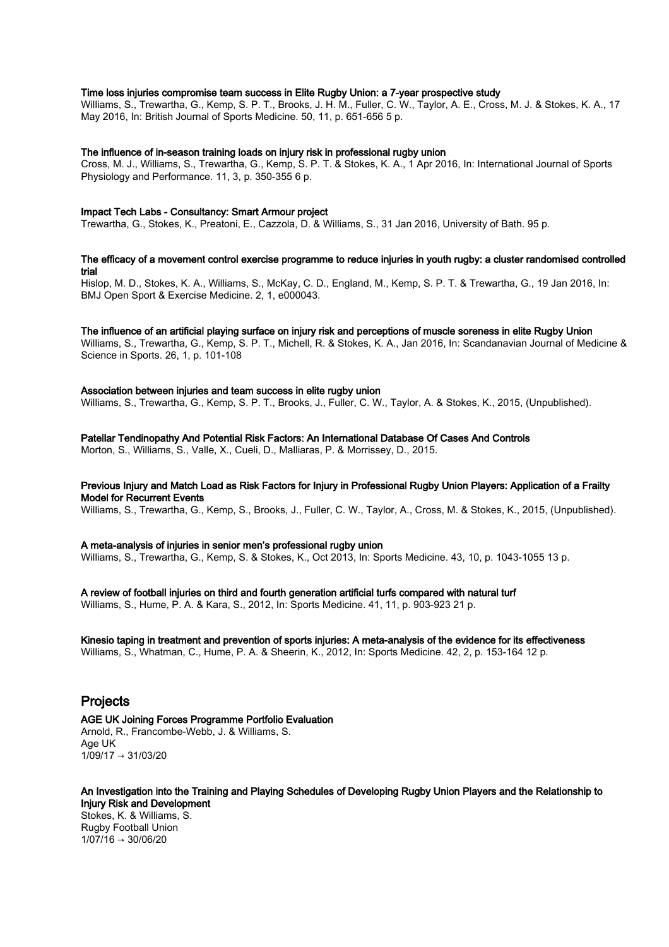## Time loss injuries compromise team success in Elite Rugby Union: a 7-year prospective study

Williams, S., Trewartha, G., Kemp, S. P. T., Brooks, J. H. M., Fuller, C. W., Taylor, A. E., Cross, M. J. & Stokes, K. A., 17 May 2016, In: British Journal of Sports Medicine. 50, 11, p. 651-656 5 p.

#### The influence of in-season training loads on injury risk in professional rugby union

Cross, M. J., Williams, S., Trewartha, G., Kemp, S. P. T. & Stokes, K. A., 1 Apr 2016, In: International Journal of Sports Physiology and Performance. 11, 3, p. 350-355 6 p.

#### Impact Tech Labs - Consultancy: Smart Armour project

Trewartha, G., Stokes, K., Preatoni, E., Cazzola, D. & Williams, S., 31 Jan 2016, University of Bath. 95 p.

# The efficacy of a movement control exercise programme to reduce injuries in youth rugby: a cluster randomised controlled trial

Hislop, M. D., Stokes, K. A., Williams, S., McKay, C. D., England, M., Kemp, S. P. T. & Trewartha, G., 19 Jan 2016, In: BMJ Open Sport & Exercise Medicine. 2, 1, e000043.

## The influence of an artificial playing surface on injury risk and perceptions of muscle soreness in elite Rugby Union

Williams, S., Trewartha, G., Kemp, S. P. T., Michell, R. & Stokes, K. A., Jan 2016, In: Scandanavian Journal of Medicine & Science in Sports. 26, 1, p. 101-108

#### Association between injuries and team success in elite rugby union

Williams, S., Trewartha, G., Kemp, S. P. T., Brooks, J., Fuller, C. W., Taylor, A. & Stokes, K., 2015, (Unpublished).

## Patellar Tendinopathy And Potential Risk Factors: An International Database Of Cases And Controls

Morton, S., Williams, S., Valle, X., Cueli, D., Malliaras, P. & Morrissey, D., 2015.

# Previous Injury and Match Load as Risk Factors for Injury in Professional Rugby Union Players: Application of a Frailty Model for Recurrent Events

Williams, S., Trewartha, G., Kemp, S., Brooks, J., Fuller, C. W., Taylor, A., Cross, M. & Stokes, K., 2015, (Unpublished).

## A meta-analysis of injuries in senior men's professional rugby union

Williams, S., Trewartha, G., Kemp, S. & Stokes, K., Oct 2013, In: Sports Medicine. 43, 10, p. 1043-1055 13 p.

A review of football injuries on third and fourth generation artificial turfs compared with natural turf Williams, S., Hume, P. A. & Kara, S., 2012, In: Sports Medicine. 41, 11, p. 903-923 21 p.

# Kinesio taping in treatment and prevention of sports injuries: A meta-analysis of the evidence for its effectiveness

Williams, S., Whatman, C., Hume, P. A. & Sheerin, K., 2012, In: Sports Medicine. 42, 2, p. 153-164 12 p.

# Projects

AGE UK Joining Forces Programme Portfolio Evaluation Arnold, R., Francombe-Webb, J. & Williams, S. Age UK 1/09/17 → 31/03/20

An Investigation into the Training and Playing Schedules of Developing Rugby Union Players and the Relationship to Injury Risk and Development Stokes, K. & Williams, S. Rugby Football Union  $1/07/16 \rightarrow 30/06/20$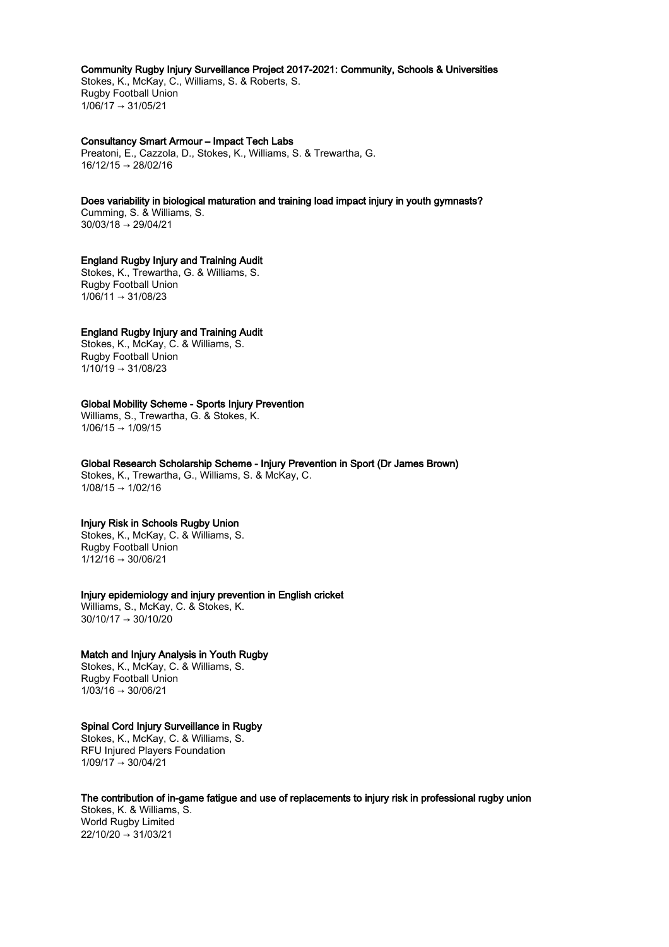#### Community Rugby Injury Surveillance Project 2017-2021: Community, Schools & Universities

Stokes, K., McKay, C., Williams, S. & Roberts, S. Rugby Football Union  $1/06/17 \rightarrow 31/05/21$ 

## Consultancy Smart Armour – Impact Tech Labs

Preatoni, E., Cazzola, D., Stokes, K., Williams, S. & Trewartha, G. 16/12/15 → 28/02/16

## Does variability in biological maturation and training load impact injury in youth gymnasts?

Cumming, S. & Williams, S. 30/03/18 → 29/04/21

# England Rugby Injury and Training Audit

Stokes, K., Trewartha, G. & Williams, S. Rugby Football Union 1/06/11 → 31/08/23

# England Rugby Injury and Training Audit

Stokes, K., McKay, C. & Williams, S. Rugby Football Union  $1/10/19 \rightarrow 31/08/23$ 

#### Global Mobility Scheme - Sports Injury Prevention

Williams, S., Trewartha, G. & Stokes, K.  $1/06/15 \rightarrow 1/09/15$ 

# Global Research Scholarship Scheme - Injury Prevention in Sport (Dr James Brown)

Stokes, K., Trewartha, G., Williams, S. & McKay, C.  $1/08/15 \rightarrow 1/02/16$ 

## Injury Risk in Schools Rugby Union

Stokes, K., McKay, C. & Williams, S. Rugby Football Union  $1/12/16 \rightarrow 30/06/21$ 

## Injury epidemiology and injury prevention in English cricket

Williams, S., McKay, C. & Stokes, K. 30/10/17 → 30/10/20

## Match and Injury Analysis in Youth Rugby

Stokes, K., McKay, C. & Williams, S. Rugby Football Union  $1/03/16 \rightarrow 30/06/21$ 

## Spinal Cord Injury Surveillance in Rugby

Stokes, K., McKay, C. & Williams, S. RFU Injured Players Foundation 1/09/17 → 30/04/21

# The contribution of in-game fatigue and use of replacements to injury risk in professional rugby union

Stokes, K. & Williams, S. World Rugby Limited  $22/10/20 \rightarrow 31/03/21$